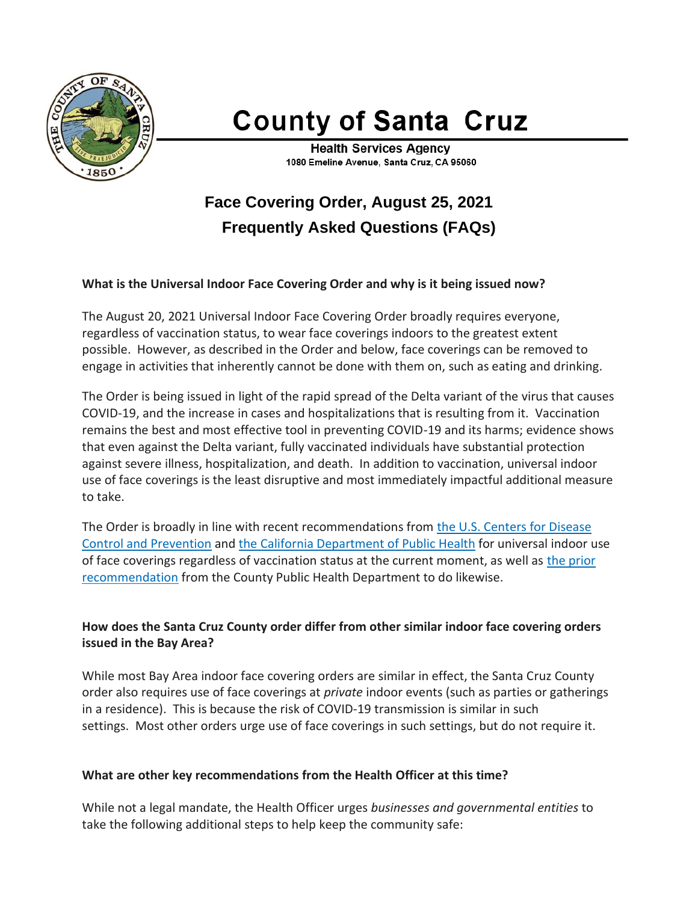

# **County of Santa Cruz**

**Health Services Agency** 1080 Emeline Avenue, Santa Cruz, CA 95060

# **Face Covering Order, August 25, 2021 Frequently Asked Questions (FAQs)**

### **What is the Universal Indoor Face Covering Order and why is it being issued now?**

The August 20, 2021 Universal Indoor Face Covering Order broadly requires everyone, regardless of vaccination status, to wear face coverings indoors to the greatest extent possible. However, as described in the Order and below, face coverings can be removed to engage in activities that inherently cannot be done with them on, such as eating and drinking.

The Order is being issued in light of the rapid spread of the Delta variant of the virus that causes COVID-19, and the increase in cases and hospitalizations that is resulting from it. Vaccination remains the best and most effective tool in preventing COVID-19 and its harms; evidence shows that even against the Delta variant, fully vaccinated individuals have substantial protection against severe illness, hospitalization, and death. In addition to vaccination, universal indoor use of face coverings is the least disruptive and most immediately impactful additional measure to take.

The Order is broadly in line with recent recommendations from the U.S. [Centers](https://www.cdc.gov/coronavirus/2019-ncov/vaccines/fully-vaccinated-guidance.html) for Disease Control and [Prevention](https://www.cdc.gov/coronavirus/2019-ncov/vaccines/fully-vaccinated-guidance.html) and the California [Department](https://www.cdph.ca.gov/Programs/CID/DCDC/Pages/COVID-19/guidance-for-face-coverings.aspx) of Public Health for universal indoor use of face coverings regardless of vaccination status at the current moment, as well as the [prior](https://covid19.sccgov.org/news-releases/pr-07-16-2021-bay-area-counties-recommend-masking-indoors-for-everyone) [recommendation](https://covid19.sccgov.org/news-releases/pr-07-16-2021-bay-area-counties-recommend-masking-indoors-for-everyone) from the County Public Health Department to do likewise.

## **How does the Santa Cruz County order differ from other similar indoor face covering orders issued in the Bay Area?**

While most Bay Area indoor face covering orders are similar in effect, the Santa Cruz County order also requires use of face coverings at *private* indoor events (such as parties or gatherings in a residence). This is because the risk of COVID-19 transmission is similar in such settings. Most other orders urge use of face coverings in such settings, but do not require it.

### **What are other key recommendations from the Health Officer at this time?**

While not a legal mandate, the Health Officer urges *businesses and governmental entities* to take the following additional steps to help keep the community safe: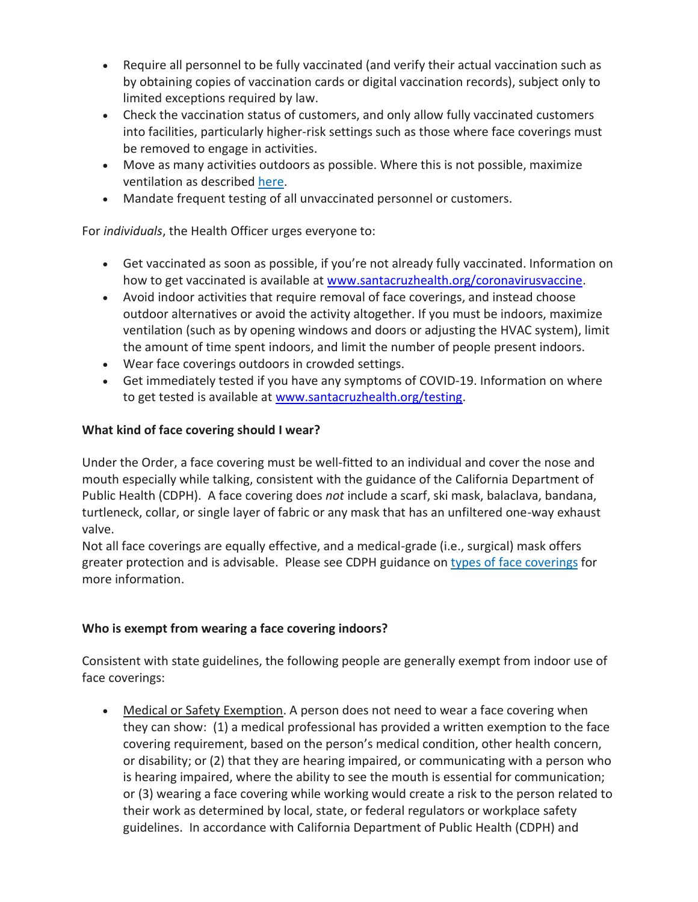- Require all personnel to be fully vaccinated (and verify their actual vaccination such as by obtaining copies of vaccination cards or digital vaccination records), subject only to limited exceptions required by law.
- Check the vaccination status of customers, and only allow fully vaccinated customers into facilities, particularly higher-risk settings such as those where face coverings must be removed to engage in activities.
- Move as many activities outdoors as possible. Where this is not possible, maximize ventilation as described [here.](https://covid19.sccgov.org/node/24861#ventilation)
- Mandate frequent testing of all unvaccinated personnel or customers.

For *individuals*, the Health Officer urges everyone to:

- Get vaccinated as soon as possible, if you're not already fully vaccinated. Information on how to get vaccinated is available at [www.santacruzhealth.org/coronavirusvaccine.](http://www.santacruzhealth.org/coronavirusvaccine)
- Avoid indoor activities that require removal of face coverings, and instead choose outdoor alternatives or avoid the activity altogether. If you must be indoors, maximize ventilation (such as by opening windows and doors or adjusting the HVAC system), limit the amount of time spent indoors, and limit the number of people present indoors.
- Wear face coverings outdoors in crowded settings.
- Get immediately tested if you have any symptoms of COVID-19. Information on where to get tested is available at [www.santacruzhealth.org/testing.](http://www.santacruzhealth.org/testing)

# **What kind of face covering should I wear?**

Under the Order, a face covering must be well-fitted to an individual and cover the nose and mouth especially while talking, consistent with the guidance of the California Department of Public Health (CDPH). A face covering does *not* include a scarf, ski mask, balaclava, bandana, turtleneck, collar, or single layer of fabric or any mask that has an unfiltered one-way exhaust valve.

Not all face coverings are equally effective, and a medical-grade (i.e., surgical) mask offers greater protection and is advisable. Please see CDPH guidance on types of face [coverings](https://www.cdph.ca.gov/Programs/CID/DCDC/Pages/COVID-19/Get-the-Most-out-of-Masking.aspx) for more information.

# **Who is exempt from wearing a face covering indoors?**

Consistent with state guidelines, the following people are generally exempt from indoor use of face coverings:

• Medical or Safety Exemption. A person does not need to wear a face covering when they can show: (1) a medical professional has provided a written exemption to the face covering requirement, based on the person's medical condition, other health concern, or disability; or (2) that they are hearing impaired, or communicating with a person who is hearing impaired, where the ability to see the mouth is essential for communication; or (3) wearing a face covering while working would create a risk to the person related to their work as determined by local, state, or federal regulators or workplace safety guidelines. In accordance with California Department of Public Health (CDPH) and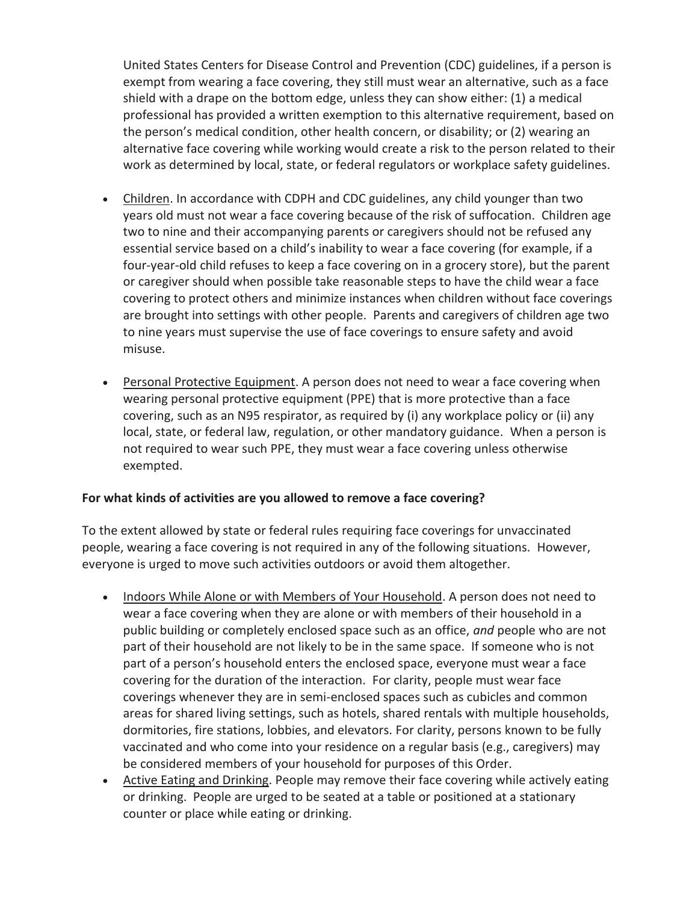United States Centers for Disease Control and Prevention (CDC) guidelines, if a person is exempt from wearing a face covering, they still must wear an alternative, such as a face shield with a drape on the bottom edge, unless they can show either: (1) a medical professional has provided a written exemption to this alternative requirement, based on the person's medical condition, other health concern, or disability; or (2) wearing an alternative face covering while working would create a risk to the person related to their work as determined by local, state, or federal regulators or workplace safety guidelines.

- Children. In accordance with CDPH and CDC guidelines, any child younger than two years old must not wear a face covering because of the risk of suffocation. Children age two to nine and their accompanying parents or caregivers should not be refused any essential service based on a child's inability to wear a face covering (for example, if a four-year-old child refuses to keep a face covering on in a grocery store), but the parent or caregiver should when possible take reasonable steps to have the child wear a face covering to protect others and minimize instances when children without face coverings are brought into settings with other people. Parents and caregivers of children age two to nine years must supervise the use of face coverings to ensure safety and avoid misuse.
- Personal Protective Equipment. A person does not need to wear a face covering when wearing personal protective equipment (PPE) that is more protective than a face covering, such as an N95 respirator, as required by (i) any workplace policy or (ii) any local, state, or federal law, regulation, or other mandatory guidance. When a person is not required to wear such PPE, they must wear a face covering unless otherwise exempted.

### **For what kinds of activities are you allowed to remove a face covering?**

To the extent allowed by state or federal rules requiring face coverings for unvaccinated people, wearing a face covering is not required in any of the following situations. However, everyone is urged to move such activities outdoors or avoid them altogether.

- Indoors While Alone or with Members of Your Household. A person does not need to wear a face covering when they are alone or with members of their household in a public building or completely enclosed space such as an office, *and* people who are not part of their household are not likely to be in the same space. If someone who is not part of a person's household enters the enclosed space, everyone must wear a face covering for the duration of the interaction. For clarity, people must wear face coverings whenever they are in semi-enclosed spaces such as cubicles and common areas for shared living settings, such as hotels, shared rentals with multiple households, dormitories, fire stations, lobbies, and elevators. For clarity, persons known to be fully vaccinated and who come into your residence on a regular basis (e.g., caregivers) may be considered members of your household for purposes of this Order.
- Active Eating and Drinking. People may remove their face covering while actively eating or drinking. People are urged to be seated at a table or positioned at a stationary counter or place while eating or drinking.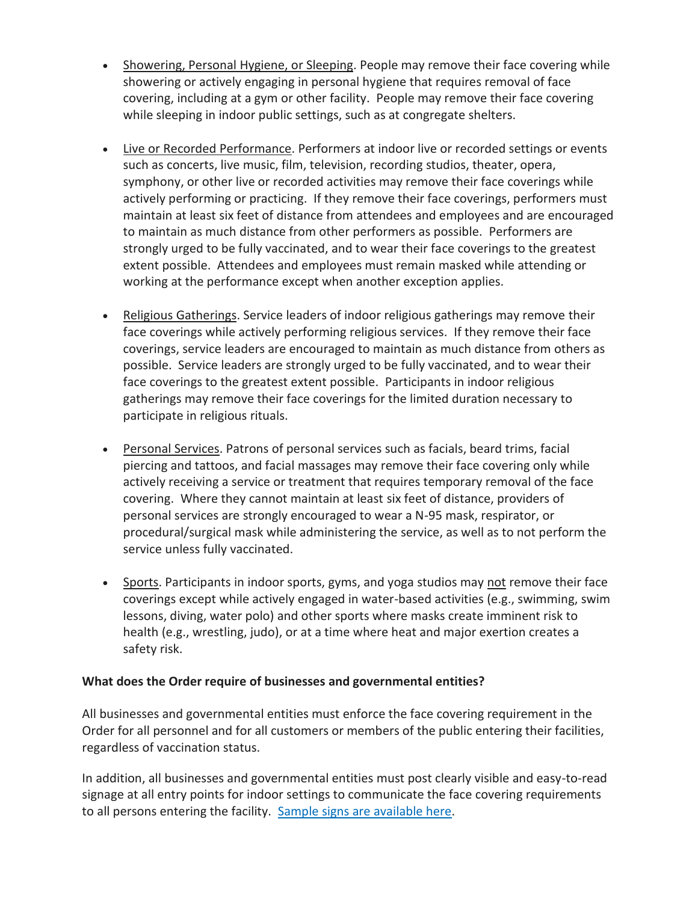- Showering, Personal Hygiene, or Sleeping. People may remove their face covering while showering or actively engaging in personal hygiene that requires removal of face covering, including at a gym or other facility. People may remove their face covering while sleeping in indoor public settings, such as at congregate shelters.
- Live or Recorded Performance. Performers at indoor live or recorded settings or events such as concerts, live music, film, television, recording studios, theater, opera, symphony, or other live or recorded activities may remove their face coverings while actively performing or practicing. If they remove their face coverings, performers must maintain at least six feet of distance from attendees and employees and are encouraged to maintain as much distance from other performers as possible. Performers are strongly urged to be fully vaccinated, and to wear their face coverings to the greatest extent possible. Attendees and employees must remain masked while attending or working at the performance except when another exception applies.
- Religious Gatherings. Service leaders of indoor religious gatherings may remove their face coverings while actively performing religious services. If they remove their face coverings, service leaders are encouraged to maintain as much distance from others as possible. Service leaders are strongly urged to be fully vaccinated, and to wear their face coverings to the greatest extent possible. Participants in indoor religious gatherings may remove their face coverings for the limited duration necessary to participate in religious rituals.
- Personal Services. Patrons of personal services such as facials, beard trims, facial piercing and tattoos, and facial massages may remove their face covering only while actively receiving a service or treatment that requires temporary removal of the face covering. Where they cannot maintain at least six feet of distance, providers of personal services are strongly encouraged to wear a N-95 mask, respirator, or procedural/surgical mask while administering the service, as well as to not perform the service unless fully vaccinated.
- Sports. Participants in indoor sports, gyms, and yoga studios may not remove their face coverings except while actively engaged in water-based activities (e.g., swimming, swim lessons, diving, water polo) and other sports where masks create imminent risk to health (e.g., wrestling, judo), or at a time where heat and major exertion creates a safety risk.

### **What does the Order require of businesses and governmental entities?**

All businesses and governmental entities must enforce the face covering requirement in the Order for all personnel and for all customers or members of the public entering their facilities, regardless of vaccination status.

In addition, all businesses and governmental entities must post clearly visible and easy-to-read signage at all entry points for indoor settings to communicate the face covering requirements to all persons entering the facility. Sample signs are [available](https://www.santacruzhealth.org/HSAHome/HSADivisions/PublicHealth/CommunicableDiseaseControl/CoronavirusHome/PublicInformation/SignsMediaLibrary.aspx) here.